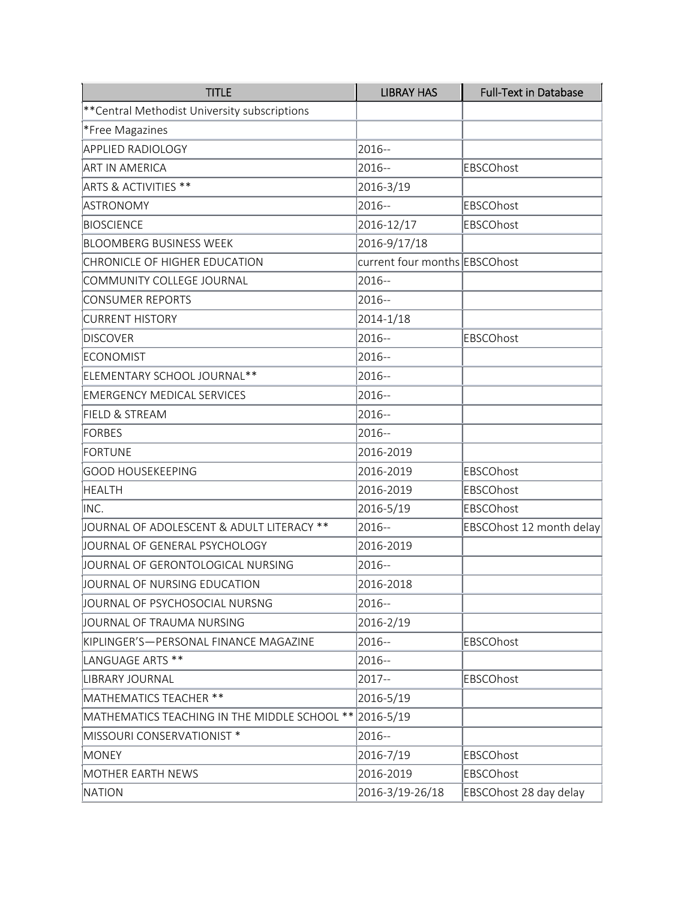| <b>TITLE</b>                                  | <b>LIBRAY HAS</b>             | <b>Full-Text in Database</b> |
|-----------------------------------------------|-------------------------------|------------------------------|
| ** Central Methodist University subscriptions |                               |                              |
| *Free Magazines                               |                               |                              |
| <b>APPLIED RADIOLOGY</b>                      | 2016--                        |                              |
| <b>ART IN AMERICA</b>                         | 2016--                        | EBSCOhost                    |
| ARTS & ACTIVITIES **                          | 2016-3/19                     |                              |
| ASTRONOMY                                     | 2016--                        | EBSCOhost                    |
| <b>BIOSCIENCE</b>                             | 2016-12/17                    | EBSCOhost                    |
| <b>BLOOMBERG BUSINESS WEEK</b>                | 2016-9/17/18                  |                              |
| CHRONICLE OF HIGHER EDUCATION                 | current four months EBSCOhost |                              |
| COMMUNITY COLLEGE JOURNAL                     | 2016--                        |                              |
| CONSUMER REPORTS                              | 2016--                        |                              |
| <b>CURRENT HISTORY</b>                        | 2014-1/18                     |                              |
| <b>DISCOVER</b>                               | 2016--                        | EBSCOhost                    |
| <b>ECONOMIST</b>                              | 2016--                        |                              |
| ELEMENTARY SCHOOL JOURNAL**                   | 2016--                        |                              |
| <b>EMERGENCY MEDICAL SERVICES</b>             | 2016--                        |                              |
| <b>FIELD &amp; STREAM</b>                     | 2016--                        |                              |
| FORBES                                        | 2016 --                       |                              |
| FORTUNE                                       | 2016-2019                     |                              |
| <b>GOOD HOUSEKEEPING</b>                      | 2016-2019                     | EBSCOhost                    |
| <b>HEALTH</b>                                 | 2016-2019                     | EBSCOhost                    |
| INC.                                          | 2016-5/19                     | EBSCOhost                    |
| JOURNAL OF ADOLESCENT & ADULT LITERACY **     | 2016--                        | EBSCOhost 12 month delay     |
| JOURNAL OF GENERAL PSYCHOLOGY                 | 2016-2019                     |                              |
| JOURNAL OF GERONTOLOGICAL NURSING             | 2016--                        |                              |
| JOURNAL OF NURSING EDUCATION                  | 2016-2018                     |                              |
| JOURNAL OF PSYCHOSOCIAL NURSNG                | 2016--                        |                              |
| JOURNAL OF TRAUMA NURSING                     | 2016-2/19                     |                              |
| KIPLINGER'S-PERSONAL FINANCE MAGAZINE         | 2016--                        | EBSCOhost                    |
| LANGUAGE ARTS **                              | 2016--                        |                              |
| LIBRARY JOURNAL                               | 2017--                        | EBSCOhost                    |
| MATHEMATICS TEACHER **                        | 2016-5/19                     |                              |
| MATHEMATICS TEACHING IN THE MIDDLE SCHOOL **  | 2016-5/19                     |                              |
| MISSOURI CONSERVATIONIST *                    | 2016--                        |                              |
| <b>MONEY</b>                                  | 2016-7/19                     | EBSCOhost                    |
| MOTHER EARTH NEWS                             | 2016-2019                     | EBSCOhost                    |
| <b>NATION</b>                                 | 2016-3/19-26/18               | EBSCOhost 28 day delay       |